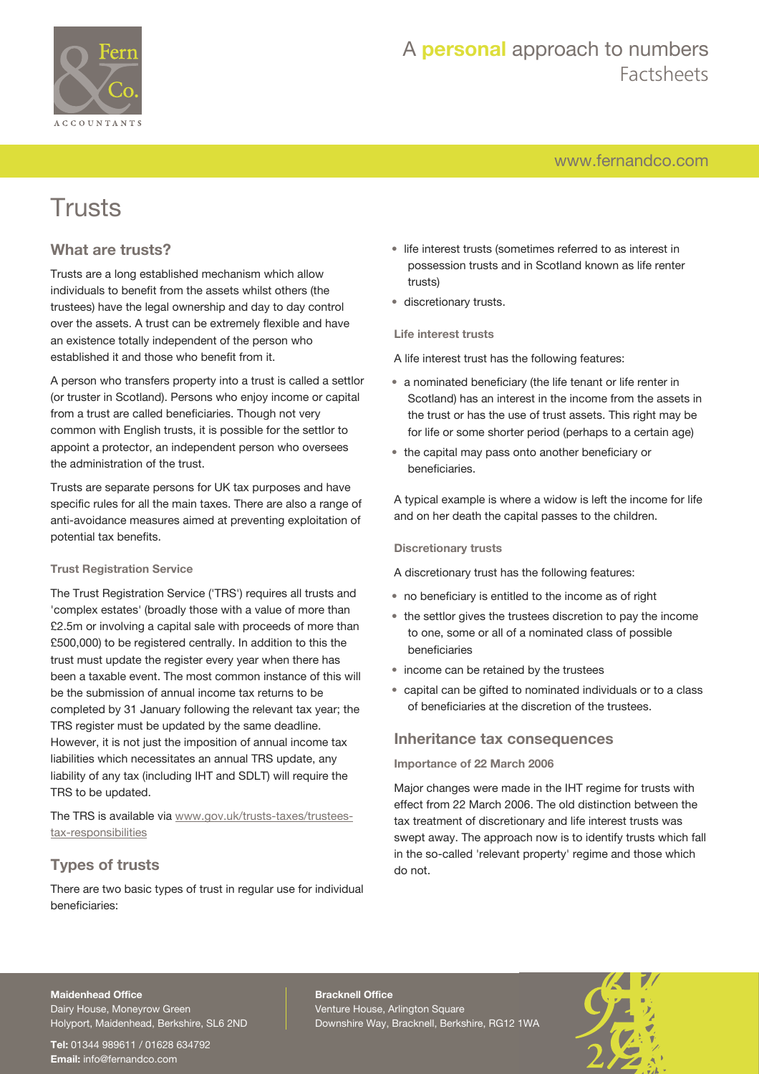

## A **personal** approach to numbers Factsheets

[www.fernandco.com](http://www.fernandco.com)

# Trusts

## **What are trusts?**

Trusts are a long established mechanism which allow individuals to benefit from the assets whilst others (the trustees) have the legal ownership and day to day control over the assets. A trust can be extremely flexible and have an existence totally independent of the person who established it and those who benefit from it.

A person who transfers property into a trust is called a settlor (or truster in Scotland). Persons who enjoy income or capital from a trust are called beneficiaries. Though not very common with English trusts, it is possible for the settlor to appoint a protector, an independent person who oversees the administration of the trust.

Trusts are separate persons for UK tax purposes and have specific rules for all the main taxes. There are also a range of anti-avoidance measures aimed at preventing exploitation of potential tax benefits.

#### **Trust Registration Service**

The Trust Registration Service ('TRS') requires all trusts and 'complex estates' (broadly those with a value of more than £2.5m or involving a capital sale with proceeds of more than £500,000) to be registered centrally. In addition to this the trust must update the register every year when there has been a taxable event. The most common instance of this will be the submission of annual income tax returns to be completed by 31 January following the relevant tax year; the TRS register must be updated by the same deadline. However, it is not just the imposition of annual income tax liabilities which necessitates an annual TRS update, any liability of any tax (including IHT and SDLT) will require the TRS to be updated.

The TRS is available via [www.gov.uk/trusts-taxes/trustees](https://www.gov.uk/trusts-taxes/trustees-tax-responsibilities)[tax-responsibilities](https://www.gov.uk/trusts-taxes/trustees-tax-responsibilities)

## **Types of trusts**

There are two basic types of trust in regular use for individual beneficiaries:

- life interest trusts (sometimes referred to as interest in possession trusts and in Scotland known as life renter trusts)
- discretionary trusts.

#### **Life interest trusts**

A life interest trust has the following features:

- a nominated beneficiary (the life tenant or life renter in Scotland) has an interest in the income from the assets in the trust or has the use of trust assets. This right may be for life or some shorter period (perhaps to a certain age)
- the capital may pass onto another beneficiary or beneficiaries.

A typical example is where a widow is left the income for life and on her death the capital passes to the children.

#### **Discretionary trusts**

A discretionary trust has the following features:

- no beneficiary is entitled to the income as of right
- the settlor gives the trustees discretion to pay the income to one, some or all of a nominated class of possible beneficiaries
- income can be retained by the trustees
- capital can be gifted to nominated individuals or to a class of beneficiaries at the discretion of the trustees.

### **Inheritance tax consequences**

#### **Importance of 22 March 2006**

Major changes were made in the IHT regime for trusts with effect from 22 March 2006. The old distinction between the tax treatment of discretionary and life interest trusts was swept away. The approach now is to identify trusts which fall in the so-called 'relevant property' regime and those which do not.

#### **Maidenhead Office**

Dairy House, Moneyrow Green Holyport, Maidenhead, Berkshire, SL6 2ND

**Tel:** 01344 989611 / 01628 634792 **Email:** [info@fernandco.com](mailto:info@fernandco.com)

**Bracknell Office** Venture House, Arlington Square Downshire Way, Bracknell, Berkshire, RG12 1WA

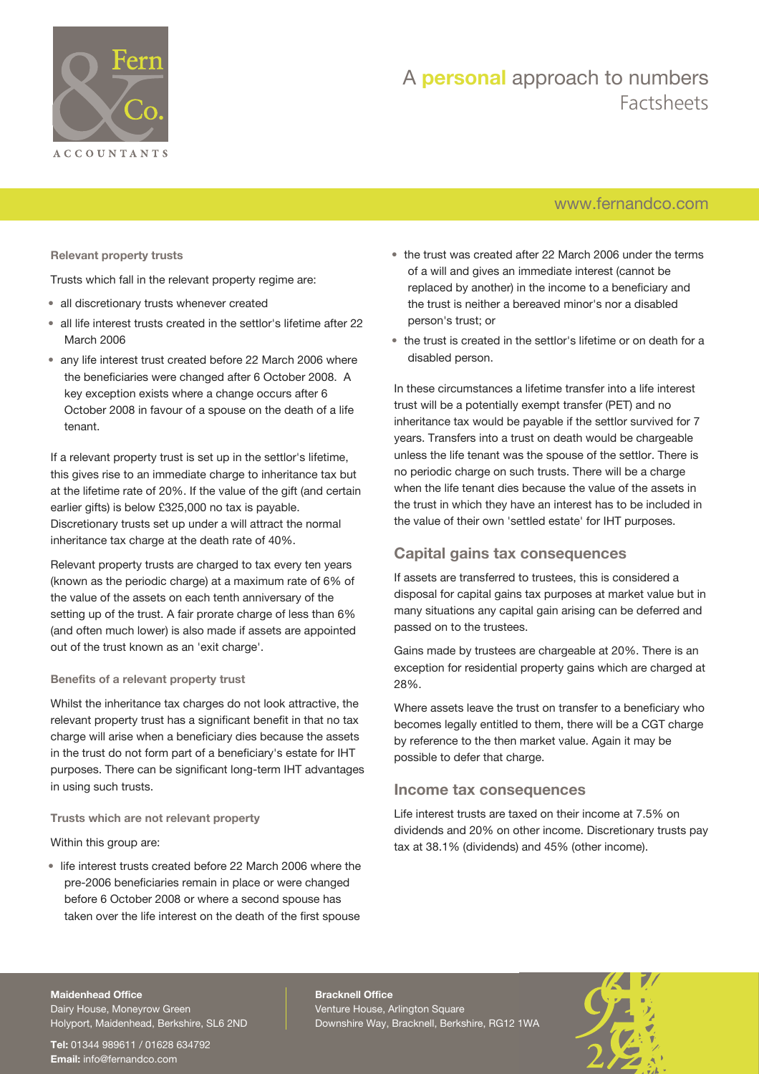

## A **personal** approach to numbers Factsheets

## [www.fernandco.com](http://www.fernandco.com)

**Relevant property trusts**

Trusts which fall in the relevant property regime are:

- all discretionary trusts whenever created
- all life interest trusts created in the settlor's lifetime after 22 March 2006
- any life interest trust created before 22 March 2006 where the beneficiaries were changed after 6 October 2008. A key exception exists where a change occurs after 6 October 2008 in favour of a spouse on the death of a life tenant.

If a relevant property trust is set up in the settlor's lifetime, this gives rise to an immediate charge to inheritance tax but at the lifetime rate of 20%. If the value of the gift (and certain earlier gifts) is below £325,000 no tax is payable. Discretionary trusts set up under a will attract the normal inheritance tax charge at the death rate of 40%.

Relevant property trusts are charged to tax every ten years (known as the periodic charge) at a maximum rate of 6% of the value of the assets on each tenth anniversary of the setting up of the trust. A fair prorate charge of less than 6% (and often much lower) is also made if assets are appointed out of the trust known as an 'exit charge'.

#### **Benefits of a relevant property trust**

Whilst the inheritance tax charges do not look attractive, the relevant property trust has a significant benefit in that no tax charge will arise when a beneficiary dies because the assets in the trust do not form part of a beneficiary's estate for IHT purposes. There can be significant long-term IHT advantages in using such trusts.

#### **Trusts which are not relevant property**

Within this group are:

• life interest trusts created before 22 March 2006 where the pre-2006 beneficiaries remain in place or were changed before 6 October 2008 or where a second spouse has taken over the life interest on the death of the first spouse

- the trust was created after 22 March 2006 under the terms of a will and gives an immediate interest (cannot be replaced by another) in the income to a beneficiary and the trust is neither a bereaved minor's nor a disabled person's trust; or
- the trust is created in the settlor's lifetime or on death for a disabled person.

In these circumstances a lifetime transfer into a life interest trust will be a potentially exempt transfer (PET) and no inheritance tax would be payable if the settlor survived for 7 years. Transfers into a trust on death would be chargeable unless the life tenant was the spouse of the settlor. There is no periodic charge on such trusts. There will be a charge when the life tenant dies because the value of the assets in the trust in which they have an interest has to be included in the value of their own 'settled estate' for IHT purposes.

### **Capital gains tax consequences**

If assets are transferred to trustees, this is considered a disposal for capital gains tax purposes at market value but in many situations any capital gain arising can be deferred and passed on to the trustees.

Gains made by trustees are chargeable at 20%. There is an exception for residential property gains which are charged at 28%.

Where assets leave the trust on transfer to a beneficiary who becomes legally entitled to them, there will be a CGT charge by reference to the then market value. Again it may be possible to defer that charge.

#### **Income tax consequences**

Life interest trusts are taxed on their income at 7.5% on dividends and 20% on other income. Discretionary trusts pay tax at 38.1% (dividends) and 45% (other income).

#### **Maidenhead Office**

Dairy House, Moneyrow Green Holyport, Maidenhead, Berkshire, SL6 2ND

**Tel:** 01344 989611 / 01628 634792 **Email:** [info@fernandco.com](mailto:info@fernandco.com)

**Bracknell Office** Venture House, Arlington Square Downshire Way, Bracknell, Berkshire, RG12 1WA